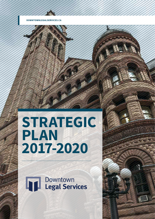# **STRATEGIC PLAN 2017-2020**

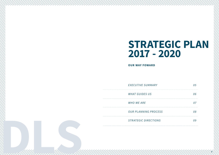

| 05 |
|----|
| 06 |
| 07 |
| 08 |
| 09 |
|    |

*OUR PLANNING PROCESS 08*

**STRATEGIC DIRECTIONS** 

# **STRATEGIC PLAN 2017 - 2020**

#### **OUR WAY FOWARD**

**EXECUTIVE SUMMARY** 

**WHAT GUIDES US** 

**WHO WE ARE**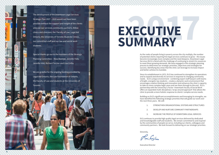Raifinles

As the ranks of people living in poverty across the city multiply, the number of potential clients requiring free legal services continues to grow – the issues become increasingly more complex and the need deepens. Downtown Legal Services (DLS) is faced with the challenge of continuing to stretch its resources to meet these growing demands. We have engaged in this strategic planning process to determine our strategic priorities, objectives and strategies for success, identifying key areas that the clinic can leverage to increase impact and better achieve its mandate.

Since its establishment in 1972, DLS has continued to strengthen its operations and to expand and diversify its services in response to changing community needs. DLS's unique environment - combining expert staff lawyers with teams of bright, energetic law students - creates a dynamic work environment that encourages creative thinking and innovation and enhances the clinic's capacity to take on more complex legal cases and see them through to the end. DLS's partnership with the University's Factor -Inwentash Faculty of Social Work offers an expanded multi-disciplinary 'wrap-around approach' that allows the clinic to provide a more holistic response to clients' complex service needs.

# **2017 2017 2017 EXECUTIVE SUMMARY**

Building on DLS's significant accomplishments and leveraging its strengths, we have identified the following strategic priorities that will guide our work over the next three years. We will:

- 
- 
- 

1. STRENGTHEN ORGANIZATIONAL SYSTEMS AND STRUCTURES

2. DEVELOP AND NURTURE COMMUNITY PARTNERSHIPS

3. INCREASE THE PROFILE OF DOWNTOWN LEGAL SERVICES

DLS continues to provide high quality legal services delivered by dedicated and knowledgeable staff and students. We remain committed to and inspired by the communities of people we serve, including our clients, colleagues and community partners. We look forward to delivering on our strategic priorities.

Sincerely,

Executive Director





The development of the Downtown Legal Services Strategic Plan 2017 – 2020 would not have been possible without the support and insight of the clients who use our services, community partners, fellow clinics and clinicians, the Faculty of Law, Legal Aid Ontario, the University of Toronto Students' Union, our committed staff and our law and social work students.

Special thanks go out to the members of the Strategic Planning Committee – Maia Rotman, Jennifer Fehr, Jennifer Hild, Richard Teicher and Lisa Cirillo.

We are grateful for the ongoing funding provided by Legal Aid Ontario, the Law Foundation of Ontario, the Faculty of Law and students at the University of Toronto.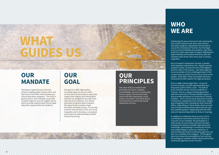7

### **OUR MANDATE**

Downtown Legal Services is the law school's leading public interest clinic and the home of its Public Interest Advocacy clinical education programs. The clinic is governed by a twin mandate: to provide excellent legal services for eligible clients and to provide sophisticated clinical legal education opportunities for students.

## **OUR GOAL**

Our goal is to offer high quality, accessible legal services to underserved client communities in ways that respect their dignity and individuality and that are designed to provide them with practical solutions. Our clinical education programs allow students the opportunity to explore legal principles and policy issues, to critically examine intersections of law and social inequality and to develop a conceptual and empirical understanding of public interest lawyering.

## **WHO WE ARE**

Celebrating 45 years of service to the community, DLS is both a poverty law clinic and a clinical education program, operated by the Faculty of Law at the University of Toronto. Our free legal services are provided by law students, who work under the close supervision of expert staff lawyers. Approximately one hundred and forty (140) law students work at the clinic every year in various capacities.

DLS is located in downtown Toronto, Canada's most populous and diverse city. Despite soaring property values, Toronto has one of the highest poverty rates in the country. Like other legal aid service providers, DLS is challenged daily to find creative ways to stretch its services to serve more people. Most often, these are people who have exhausted all other options for legal assistance.

DLS is a high-volume legal clinic - across all its service areas, it assists approximately two thousand (2,000) clients a year. The bulk of DLS's clientele are low-income residents of Toronto. Due to a unique funding agreement with the University of Toronto student unions, it also provides assistance to University of Toronto students. DLS's current areas of practice include criminal law, employment law, family law, refugee and immigration law, housing law and university affairs. Depending on client needs, these services may include providing advice about the law and the available options, negotiating with the other side and representing clients at trials or hearings.

In addition to individual client services, DLS is committed to community outreach work as a core part of our mandate. We participate in a wide variety of community outreach activities including the delivery of public legal education workshops, participating in community forums and collaborating on advocacy initiatives. In partnership with several community agencies, we also run a satellite clinic program. This program aims to increase the accessibility of our services by locating our students within valued and trusted community agencies across Toronto.

#### **OUR PRINCIPLES**

The work of DLS is rooted in the principles of respect, integrity, accountability, service to community, access, equity, intersectional antiracism and anti-oppression, social justice, innovation, and client-driven commitment to community-based responsive services.

# **WHAT GUIDES US**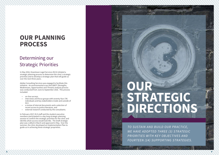- interviews and focus groups with seventy-four (74) individuals and key stakeholders inside and outside of DLS
- a review of internal documents and a selection of recent access to justice literature, and
- external research conducted by the consultants.

9

#### Determining our Strategic Priorities

In May 2016, Downtown Legal Services (DLS) initiated a strategic planning process to determine the clinic's strategic priorities and to develop a strategic plan that will guide us over the next three years.

Adobe Consulting Services was engaged to facilitate this initiative. An environmental scan and SWOT (Strengths, Weaknesses, Opportunities and Threats) analysis process was conducted from June to September 2016. This process included:

• on-line surveys

*TO SUSTAIN AND BUILD OUR PR ACTICE,*  WE HAVE ADOPTED THREE (3) STRATEGIC *PRIORITIES WITH KEY OBJECTIVES AND*  FOURTEEN (14) SUPPORTING STRATEGIES.

In February 2017, DLS staff and the student executive members participated in a day long strategic planning session to confirm the strategic priorities for the clinic and identify what success would look like. The draft strategic plan was crafted in March and approved in May. Over the summer, the clinic developed an Implementation Plan to guide us in achieving these strategic proprieties.

## **OUR PLANNING PROCESS**

# **OUR STRATEGIC DIRECTIONS**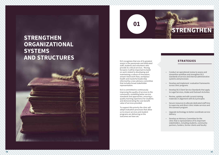DLS recognizes that one of its greatest assets is the passionate and dedicated staff, students and volunteers who provide its critical services. Moving forward, it will be important to build on work related to developing and maintaining a culture of innovation, stream-lined work-flow, workplace health and masterful leadership informed by a new advisory committee that includes broad stakeholder representation.

DLS is committed to continuously improving the quality of services to the community, modelling better service standards and approaches, ensuring a quality learning experience for students and demonstrating the cost-benefit value of services provided.

To support this priority the clinic will adopt evaluation processes that allow us to ensure services and student programs are delivering on the outcomes we have set.



- Conduct an operational review to assess and streamline workflow and strengthen DLS standards of service and internal administrative systems and processes
- Develop and implement evaluation frameworks across clinic programs
- Develop DLS Client Service Standards that apply to Legal Services, Intake and Outreach Activities
- Review, update and edit current training materials in alignment with DLS principles
- Secure resources to allocate dedicated staff time to supervise and direct clinic intake services and the outreach program
- Upgrade technology to better coordinate service delivery
- Develop an Advisory Committee for the clinic that is representative of its important stakeholders, including students, community partners, funders, former clients and faculty

#### **STRATEGIES**

#### **STRENGTHEN ORGANIZATIONAL SYSTEMS AND STRUCTURES**

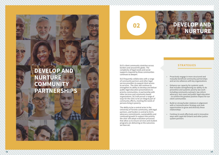DLS's client community stretches across borders and around the globe. The complexity of legal needs and social supports required by these communities continues to deepen.

DLS frequently collaborates with a range of community partners and other legal service providers to expand client access to services. The clinic will continue to strengthen its ability to develop and deliver public legal education presentations to priority communities, in partnership with other services and community based organizations. DLS will pursue a range of ways for the clinic to be an integral part of community efforts, meeting the needs of persons living in poverty.

The ability to be a central actor in the University of Toronto community, with legal partners, and funders is central to DLS's advocacy commitments, sustainability and continued growth.To support this priority the clinic will adopt evaluation processes that allow us to ensure services and student programs are delivering on the outcomes we have set.

## **DEVELOP AND NURTURE**

- Proactively engage in more structured and mutually beneficial community partnerships and service alliances with key organizations
- Enhance our capacity for systemic work, that includes strengthening our ability to do preventive and systemic poverty law work including community outreach, law reform advocacy, test cases and public legal education – to achieve the greatest positive impact for our client communities
- Build on strong funder relations in alignment with a Communication Strategy and seek opportunities to grow and diversify these relationships
- Continue to work effectively and in innovative ways with Legal Aid Ontario and other justice system partners

#### **STRATEGIES**

**02**

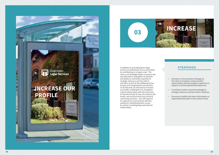- Develop a Communication Strategy for the clinic to maximize communication opportunities with key audience segments in support of achieving identified objectives
- Contribute evidence-based knowledge to strategic advocacy and law reform initiatives
- Document, publish and share information on experiential education in the context of law

#### **STRATEGIES**

14 15

In addition to providing direct legal services to individuals, DLS is committed to contributing on a larger scale. The conditioning on a larger seater. The clinic is a knowledge leader in poverty law and will seek to strengthen its position and ability to contribute expertise to strategic advocacy and law reform activities central to the wellbeing of lowincome and marginalized communities. To do this well, we will need to increase our profile, enabling DLS to strengthen critical relationships with the University of Toronto Faculty of Law, DLS alumni, the media, and sectoral and cross-sectoral community partners. DLS will improve its capacity to communicate with key audiences, facilitating better access for clients, including improved referral relationships.